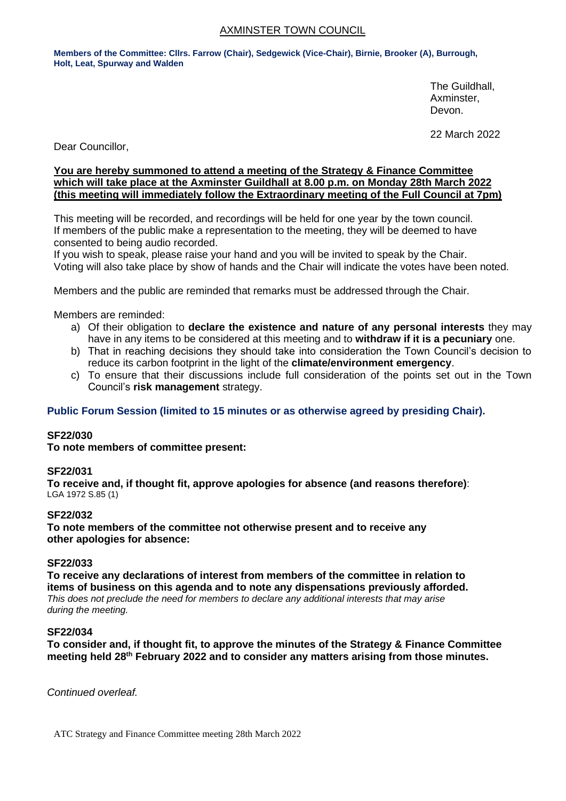## AXMINSTER TOWN COUNCIL

**Members of the Committee: Cllrs. Farrow (Chair), Sedgewick (Vice-Chair), Birnie, Brooker (A), Burrough, Holt, Leat, Spurway and Walden**

> The Guildhall, Axminster, Devon.

22 March 2022

Dear Councillor,

### **You are hereby summoned to attend a meeting of the Strategy & Finance Committee which will take place at the Axminster Guildhall at 8.00 p.m. on Monday 28th March 2022 (this meeting will immediately follow the Extraordinary meeting of the Full Council at 7pm)**

This meeting will be recorded, and recordings will be held for one year by the town council. If members of the public make a representation to the meeting, they will be deemed to have consented to being audio recorded.

If you wish to speak, please raise your hand and you will be invited to speak by the Chair. Voting will also take place by show of hands and the Chair will indicate the votes have been noted.

Members and the public are reminded that remarks must be addressed through the Chair.

Members are reminded:

- a) Of their obligation to **declare the existence and nature of any personal interests** they may have in any items to be considered at this meeting and to **withdraw if it is a pecuniary** one.
- b) That in reaching decisions they should take into consideration the Town Council's decision to reduce its carbon footprint in the light of the **climate/environment emergency**.
- c) To ensure that their discussions include full consideration of the points set out in the Town Council's **risk management** strategy.

## **Public Forum Session (limited to 15 minutes or as otherwise agreed by presiding Chair).**

#### **SF22/030**

**To note members of committee present:**

#### **SF22/031**

**To receive and, if thought fit, approve apologies for absence (and reasons therefore)**: LGA 1972 S.85 (1)

#### **SF22/032**

**To note members of the committee not otherwise present and to receive any other apologies for absence:**

#### **SF22/033**

**To receive any declarations of interest from members of the committee in relation to items of business on this agenda and to note any dispensations previously afforded.**  *This does not preclude the need for members to declare any additional interests that may arise during the meeting.*

#### **SF22/034**

**To consider and, if thought fit, to approve the minutes of the Strategy & Finance Committee meeting held 28th February 2022 and to consider any matters arising from those minutes.**

*Continued overleaf.*

ATC Strategy and Finance Committee meeting 28th March 2022